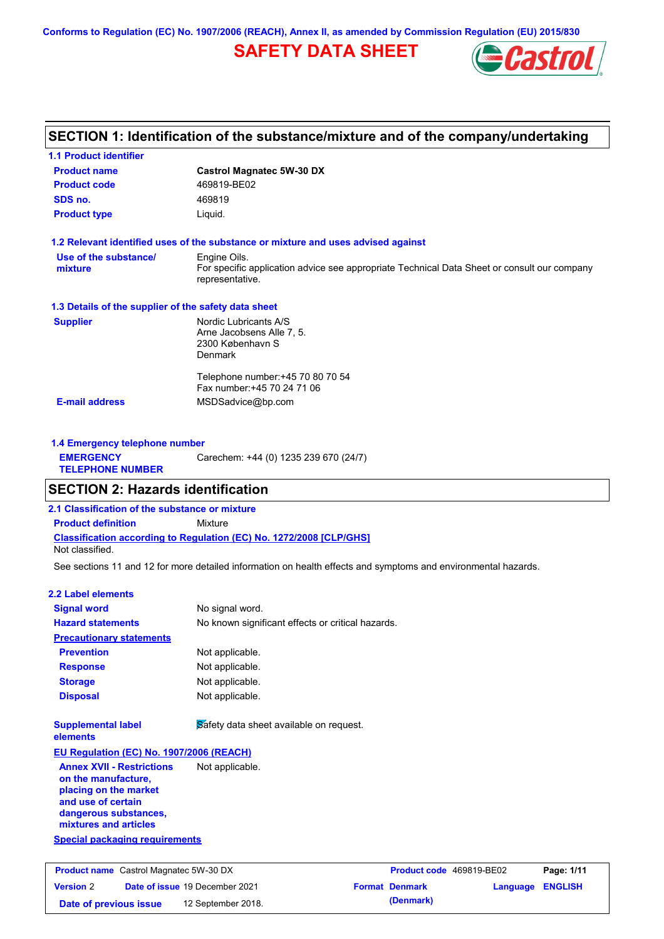**Conforms to Regulation (EC) No. 1907/2006 (REACH), Annex II, as amended by Commission Regulation (EU) 2015/830**

# **SAFETY DATA SHEET**



# **SECTION 1: Identification of the substance/mixture and of the company/undertaking**

| <b>1.1 Product identifier</b>                        |                                                                                                                |
|------------------------------------------------------|----------------------------------------------------------------------------------------------------------------|
| <b>Product name</b>                                  | <b>Castrol Magnatec 5W-30 DX</b>                                                                               |
| <b>Product code</b>                                  | 469819-BE02                                                                                                    |
| SDS no.                                              | 469819                                                                                                         |
| <b>Product type</b>                                  | Liquid.                                                                                                        |
|                                                      | 1.2 Relevant identified uses of the substance or mixture and uses advised against                              |
| Use of the substance/                                | Engine Oils.                                                                                                   |
| mixture                                              | For specific application advice see appropriate Technical Data Sheet or consult our company<br>representative. |
| 1.3 Details of the supplier of the safety data sheet |                                                                                                                |
| <b>Supplier</b>                                      | Nordic Lubricants A/S                                                                                          |
|                                                      | Arne Jacobsens Alle 7, 5.                                                                                      |
|                                                      | 2300 København S<br><b>Denmark</b>                                                                             |
|                                                      |                                                                                                                |
|                                                      | Telephone number: +45 70 80 70 54                                                                              |
|                                                      | Fax number: +45 70 24 71 06                                                                                    |
| <b>E-mail address</b>                                | MSDSadvice@bp.com                                                                                              |
|                                                      |                                                                                                                |
|                                                      |                                                                                                                |

| 1.4 Emergency telephone number              |                                       |  |  |  |
|---------------------------------------------|---------------------------------------|--|--|--|
| <b>EMERGENCY</b><br><b>TELEPHONE NUMBER</b> | Carechem: +44 (0) 1235 239 670 (24/7) |  |  |  |

# **SECTION 2: Hazards identification**

**Date of previous issue 12 September 2018.** 

**2.1 Classification of the substance or mixture**

**Classification according to Regulation (EC) No. 1272/2008 [CLP/GHS] Product definition** Mixture

Not classified.

See sections 11 and 12 for more detailed information on health effects and symptoms and environmental hazards.

### **2.2 Label elements**

| <b>Signal word</b>                                                                                                                                       | No signal word.                                   |                          |          |                |
|----------------------------------------------------------------------------------------------------------------------------------------------------------|---------------------------------------------------|--------------------------|----------|----------------|
| <b>Hazard statements</b>                                                                                                                                 | No known significant effects or critical hazards. |                          |          |                |
| <b>Precautionary statements</b>                                                                                                                          |                                                   |                          |          |                |
| <b>Prevention</b>                                                                                                                                        | Not applicable.                                   |                          |          |                |
| <b>Response</b>                                                                                                                                          | Not applicable.                                   |                          |          |                |
| <b>Storage</b>                                                                                                                                           | Not applicable.                                   |                          |          |                |
| <b>Disposal</b>                                                                                                                                          | Not applicable.                                   |                          |          |                |
| <b>Supplemental label</b><br>elements                                                                                                                    | Safety data sheet available on request.           |                          |          |                |
| EU Regulation (EC) No. 1907/2006 (REACH)                                                                                                                 |                                                   |                          |          |                |
| <b>Annex XVII - Restrictions</b><br>on the manufacture,<br>placing on the market<br>and use of certain<br>dangerous substances,<br>mixtures and articles | Not applicable.                                   |                          |          |                |
| <b>Special packaging requirements</b>                                                                                                                    |                                                   |                          |          |                |
| <b>Product name</b> Castrol Magnatec 5W-30 DX                                                                                                            |                                                   | Product code 469819-BE02 |          | Page: 1/11     |
| <b>Version 2</b>                                                                                                                                         | Date of issue 19 December 2021                    | <b>Format Denmark</b>    | Language | <b>ENGLISH</b> |

| <b>Product code</b> 469819-BE02 |                  | Page: 1/11 |
|---------------------------------|------------------|------------|
| <b>Format Denmark</b>           | Language ENGLISH |            |
| (Denmark)                       |                  |            |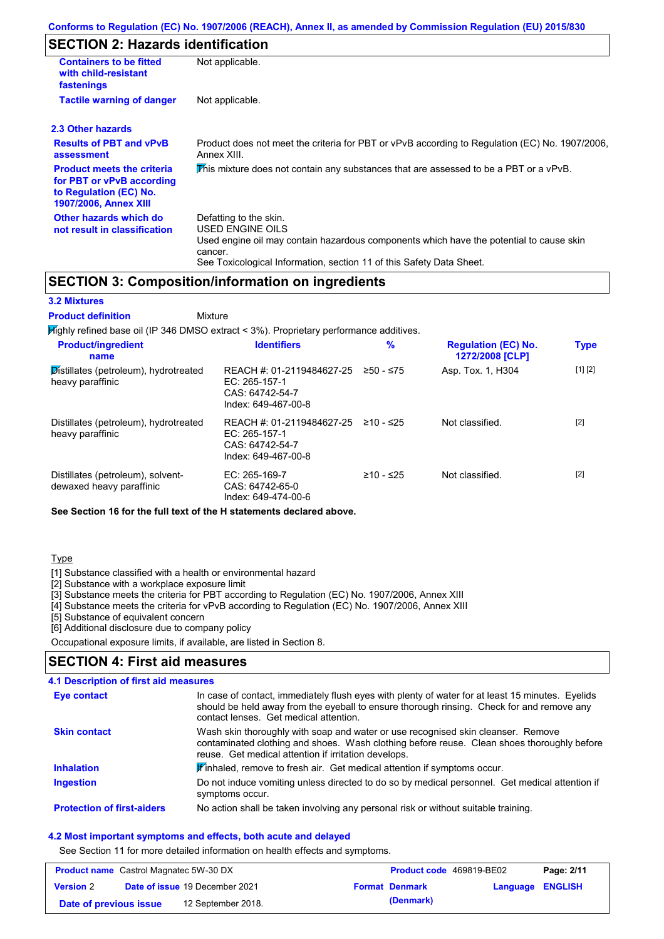# **SECTION 2: Hazards identification**

| <b>Containers to be fitted</b><br>with child-resistant<br>fastenings                                                     | Not applicable.                                                                                                                                                                                                          |
|--------------------------------------------------------------------------------------------------------------------------|--------------------------------------------------------------------------------------------------------------------------------------------------------------------------------------------------------------------------|
| <b>Tactile warning of danger</b>                                                                                         | Not applicable.                                                                                                                                                                                                          |
| 2.3 Other hazards                                                                                                        |                                                                                                                                                                                                                          |
| <b>Results of PBT and vPvB</b><br>assessment                                                                             | Product does not meet the criteria for PBT or vPvB according to Regulation (EC) No. 1907/2006,<br>Annex XIII.                                                                                                            |
| <b>Product meets the criteria</b><br>for PBT or vPvB according<br>to Regulation (EC) No.<br><b>1907/2006, Annex XIII</b> | This mixture does not contain any substances that are assessed to be a PBT or a vPvB.                                                                                                                                    |
| Other hazards which do<br>not result in classification                                                                   | Defatting to the skin.<br>USED ENGINE OILS<br>Used engine oil may contain hazardous components which have the potential to cause skin<br>cancer.<br>See Toxicological Information, section 11 of this Safety Data Sheet. |

## **SECTION 3: Composition/information on ingredients**

### **3.2 Mixtures**

Mixture **Product definition**

| $H$ in the proportion of the S46 DMSO extract $\leq$ 3%). Proprietary performance additives. |                                                                                      |             |                                               |             |
|----------------------------------------------------------------------------------------------|--------------------------------------------------------------------------------------|-------------|-----------------------------------------------|-------------|
| <b>Product/ingredient</b><br>name                                                            | <b>Identifiers</b>                                                                   | %           | <b>Regulation (EC) No.</b><br>1272/2008 [CLP] | <b>Type</b> |
| Distillates (petroleum), hydrotreated<br>heavy paraffinic                                    | REACH #: 01-2119484627-25<br>EC: 265-157-1<br>CAS: 64742-54-7<br>Index: 649-467-00-8 | ≥50 - ≤75   | Asp. Tox. 1, H304                             | [1] [2]     |
| Distillates (petroleum), hydrotreated<br>heavy paraffinic                                    | REACH #: 01-2119484627-25<br>EC: 265-157-1<br>CAS: 64742-54-7<br>Index: 649-467-00-8 | ≥10 - ≤25   | Not classified.                               | $[2]$       |
| Distillates (petroleum), solvent-<br>dewaxed heavy paraffinic                                | $EC: 265-169-7$<br>CAS: 64742-65-0<br>Index: 649-474-00-6                            | $≥10 - ≤25$ | Not classified.                               | $[2]$       |

**See Section 16 for the full text of the H statements declared above.**

### Type

[1] Substance classified with a health or environmental hazard

[2] Substance with a workplace exposure limit

[3] Substance meets the criteria for PBT according to Regulation (EC) No. 1907/2006, Annex XIII

[4] Substance meets the criteria for vPvB according to Regulation (EC) No. 1907/2006, Annex XIII

[5] Substance of equivalent concern

[6] Additional disclosure due to company policy

Occupational exposure limits, if available, are listed in Section 8.

### **4.1 Description of first aid measures SECTION 4: First aid measures**

| 4.1 Description of first aid measures |                                                                                                                                                                                                                                         |
|---------------------------------------|-----------------------------------------------------------------------------------------------------------------------------------------------------------------------------------------------------------------------------------------|
| Eye contact                           | In case of contact, immediately flush eyes with plenty of water for at least 15 minutes. Eyelids<br>should be held away from the eyeball to ensure thorough rinsing. Check for and remove any<br>contact lenses. Get medical attention. |
| <b>Skin contact</b>                   | Wash skin thoroughly with soap and water or use recognised skin cleanser. Remove<br>contaminated clothing and shoes. Wash clothing before reuse. Clean shoes thoroughly before<br>reuse. Get medical attention if irritation develops.  |
| <b>Inhalation</b>                     | Finhaled, remove to fresh air. Get medical attention if symptoms occur.                                                                                                                                                                 |
| <b>Ingestion</b>                      | Do not induce vomiting unless directed to do so by medical personnel. Get medical attention if<br>symptoms occur.                                                                                                                       |
| <b>Protection of first-aiders</b>     | No action shall be taken involving any personal risk or without suitable training.                                                                                                                                                      |

### **4.2 Most important symptoms and effects, both acute and delayed**

See Section 11 for more detailed information on health effects and symptoms.

| <b>Product name</b> Castrol Magnatec 5W-30 DX |  |                                       | <b>Product code</b> 469819-BE02 | Page: 2/11            |                  |  |
|-----------------------------------------------|--|---------------------------------------|---------------------------------|-----------------------|------------------|--|
| <b>Version 2</b>                              |  | <b>Date of issue 19 December 2021</b> |                                 | <b>Format Denmark</b> | Language ENGLISH |  |
| Date of previous issue                        |  | 12 September 2018.                    |                                 | (Denmark)             |                  |  |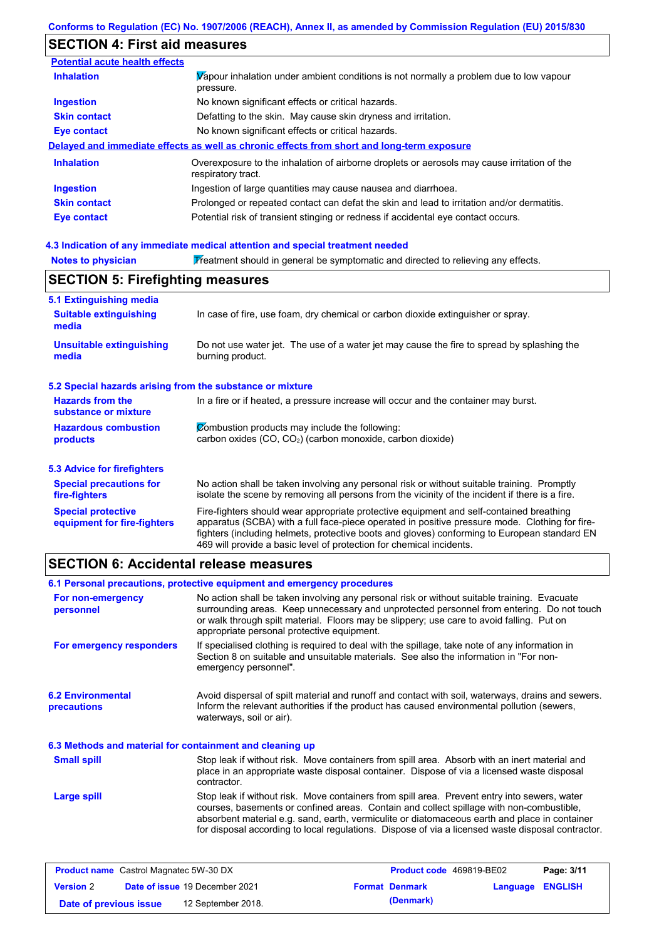# **SECTION 4: First aid measures**

| <b>Potential acute health effects</b> |                                                                                                                   |
|---------------------------------------|-------------------------------------------------------------------------------------------------------------------|
| <b>Inhalation</b>                     | Vapour inhalation under ambient conditions is not normally a problem due to low vapour<br>pressure.               |
| <b>Ingestion</b>                      | No known significant effects or critical hazards.                                                                 |
| <b>Skin contact</b>                   | Defatting to the skin. May cause skin dryness and irritation.                                                     |
| Eye contact                           | No known significant effects or critical hazards.                                                                 |
|                                       | Delayed and immediate effects as well as chronic effects from short and long-term exposure                        |
| <b>Inhalation</b>                     | Overexposure to the inhalation of airborne droplets or aerosols may cause irritation of the<br>respiratory tract. |
| <b>Ingestion</b>                      | Ingestion of large quantities may cause nausea and diarrhoea.                                                     |
| <b>Skin contact</b>                   | Prolonged or repeated contact can defat the skin and lead to irritation and/or dermatitis.                        |
| Eye contact                           | Potential risk of transient stinging or redness if accidental eye contact occurs.                                 |

### **4.3 Indication of any immediate medical attention and special treatment needed**

| <b>Notes to physician</b>                                 | $\overline{\textbf{V}}$ reatment should in general be symptomatic and directed to relieving any effects.                                                                                                                                                                                                                                                          |  |  |
|-----------------------------------------------------------|-------------------------------------------------------------------------------------------------------------------------------------------------------------------------------------------------------------------------------------------------------------------------------------------------------------------------------------------------------------------|--|--|
| <b>SECTION 5: Firefighting measures</b>                   |                                                                                                                                                                                                                                                                                                                                                                   |  |  |
| 5.1 Extinguishing media                                   |                                                                                                                                                                                                                                                                                                                                                                   |  |  |
| <b>Suitable extinguishing</b><br>media                    | In case of fire, use foam, dry chemical or carbon dioxide extinguisher or spray.                                                                                                                                                                                                                                                                                  |  |  |
| <b>Unsuitable extinguishing</b><br>media                  | Do not use water jet. The use of a water jet may cause the fire to spread by splashing the<br>burning product.                                                                                                                                                                                                                                                    |  |  |
| 5.2 Special hazards arising from the substance or mixture |                                                                                                                                                                                                                                                                                                                                                                   |  |  |
| <b>Hazards from the</b><br>substance or mixture           | In a fire or if heated, a pressure increase will occur and the container may burst.                                                                                                                                                                                                                                                                               |  |  |
| <b>Hazardous combustion</b>                               | Combustion products may include the following:                                                                                                                                                                                                                                                                                                                    |  |  |
| products                                                  | carbon oxides (CO, CO <sub>2</sub> ) (carbon monoxide, carbon dioxide)                                                                                                                                                                                                                                                                                            |  |  |
| <b>5.3 Advice for firefighters</b>                        |                                                                                                                                                                                                                                                                                                                                                                   |  |  |
| <b>Special precautions for</b><br>fire-fighters           | No action shall be taken involving any personal risk or without suitable training. Promptly<br>isolate the scene by removing all persons from the vicinity of the incident if there is a fire.                                                                                                                                                                    |  |  |
| <b>Special protective</b><br>equipment for fire-fighters  | Fire-fighters should wear appropriate protective equipment and self-contained breathing<br>apparatus (SCBA) with a full face-piece operated in positive pressure mode. Clothing for fire-<br>fighters (including helmets, protective boots and gloves) conforming to European standard EN<br>469 will provide a basic level of protection for chemical incidents. |  |  |

# **SECTION 6: Accidental release measures**

|                                                          | 6.1 Personal precautions, protective equipment and emergency procedures                                                                                                                                                                                                                                                                                                                        |
|----------------------------------------------------------|------------------------------------------------------------------------------------------------------------------------------------------------------------------------------------------------------------------------------------------------------------------------------------------------------------------------------------------------------------------------------------------------|
| For non-emergency<br>personnel                           | No action shall be taken involving any personal risk or without suitable training. Evacuate<br>surrounding areas. Keep unnecessary and unprotected personnel from entering. Do not touch<br>or walk through spilt material. Floors may be slippery; use care to avoid falling. Put on<br>appropriate personal protective equipment.                                                            |
| For emergency responders                                 | If specialised clothing is required to deal with the spillage, take note of any information in<br>Section 8 on suitable and unsuitable materials. See also the information in "For non-<br>emergency personnel".                                                                                                                                                                               |
| <b>6.2 Environmental</b><br>precautions                  | Avoid dispersal of spilt material and runoff and contact with soil, waterways, drains and sewers.<br>Inform the relevant authorities if the product has caused environmental pollution (sewers,<br>waterways, soil or air).                                                                                                                                                                    |
| 6.3 Methods and material for containment and cleaning up |                                                                                                                                                                                                                                                                                                                                                                                                |
| <b>Small spill</b>                                       | Stop leak if without risk. Move containers from spill area. Absorb with an inert material and<br>place in an appropriate waste disposal container. Dispose of via a licensed waste disposal<br>contractor.                                                                                                                                                                                     |
| <b>Large spill</b>                                       | Stop leak if without risk. Move containers from spill area. Prevent entry into sewers, water<br>courses, basements or confined areas. Contain and collect spillage with non-combustible,<br>absorbent material e.g. sand, earth, vermiculite or diatomaceous earth and place in container<br>for disposal according to local regulations. Dispose of via a licensed waste disposal contractor. |

| <b>Product name</b> Castrol Magnatec 5W-30 DX |  | <b>Product code</b> 469819-BE02       |  | Page: 3/11            |                         |  |
|-----------------------------------------------|--|---------------------------------------|--|-----------------------|-------------------------|--|
| <b>Version 2</b>                              |  | <b>Date of issue 19 December 2021</b> |  | <b>Format Denmark</b> | <b>Language ENGLISH</b> |  |
| Date of previous issue                        |  | 12 September 2018.                    |  | (Denmark)             |                         |  |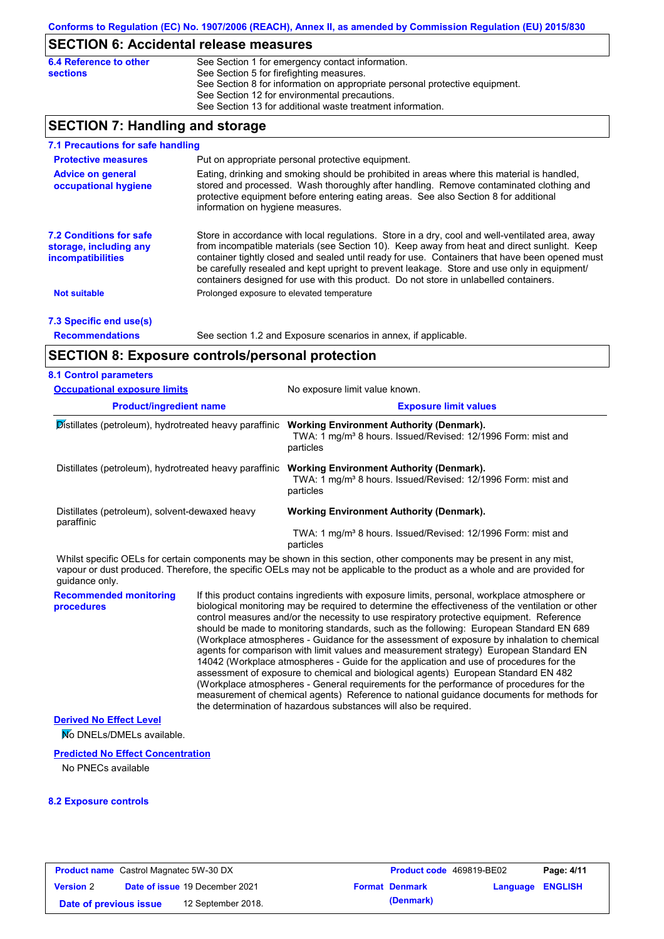### **SECTION 6: Accidental release measures**

| 6.4 Reference to other | See Section 1 for emergency contact information.                            |
|------------------------|-----------------------------------------------------------------------------|
| <b>sections</b>        | See Section 5 for firefighting measures.                                    |
|                        | See Section 8 for information on appropriate personal protective equipment. |
|                        | See Section 12 for environmental precautions.                               |
|                        | See Section 13 for additional waste treatment information.                  |
|                        |                                                                             |

## **SECTION 7: Handling and storage**

| 7.1 Precautions for safe handling                                                    |                                                                                                                                                                                                                                                                                                                                                                                                                                                                                          |
|--------------------------------------------------------------------------------------|------------------------------------------------------------------------------------------------------------------------------------------------------------------------------------------------------------------------------------------------------------------------------------------------------------------------------------------------------------------------------------------------------------------------------------------------------------------------------------------|
| <b>Protective measures</b>                                                           | Put on appropriate personal protective equipment.                                                                                                                                                                                                                                                                                                                                                                                                                                        |
| <b>Advice on general</b><br>occupational hygiene                                     | Eating, drinking and smoking should be prohibited in areas where this material is handled,<br>stored and processed. Wash thoroughly after handling. Remove contaminated clothing and<br>protective equipment before entering eating areas. See also Section 8 for additional<br>information on hygiene measures.                                                                                                                                                                         |
| <b>7.2 Conditions for safe</b><br>storage, including any<br><i>incompatibilities</i> | Store in accordance with local requlations. Store in a dry, cool and well-ventilated area, away<br>from incompatible materials (see Section 10). Keep away from heat and direct sunlight. Keep<br>container tightly closed and sealed until ready for use. Containers that have been opened must<br>be carefully resealed and kept upright to prevent leakage. Store and use only in equipment/<br>containers designed for use with this product. Do not store in unlabelled containers. |
| <b>Not suitable</b>                                                                  | Prolonged exposure to elevated temperature                                                                                                                                                                                                                                                                                                                                                                                                                                               |
| 7.3 Specific end use(s)                                                              |                                                                                                                                                                                                                                                                                                                                                                                                                                                                                          |
| <b>Recommendations</b>                                                               | See section 1.2 and Exposure scenarios in annex, if applicable.                                                                                                                                                                                                                                                                                                                                                                                                                          |

# **SECTION 8: Exposure controls/personal protection**

| <b>8.1 Control parameters</b>                                |                                                                                                                                          |
|--------------------------------------------------------------|------------------------------------------------------------------------------------------------------------------------------------------|
| <b>Occupational exposure limits</b>                          | No exposure limit value known.                                                                                                           |
| <b>Product/ingredient name</b>                               | <b>Exposure limit values</b>                                                                                                             |
| Distillates (petroleum), hydrotreated heavy paraffinic       | <b>Working Environment Authority (Denmark).</b><br>TWA: 1 mg/m <sup>3</sup> 8 hours. Issued/Revised: 12/1996 Form: mist and<br>particles |
| Distillates (petroleum), hydrotreated heavy paraffinic       | <b>Working Environment Authority (Denmark).</b><br>TWA: 1 mg/m <sup>3</sup> 8 hours. Issued/Revised: 12/1996 Form: mist and<br>particles |
| Distillates (petroleum), solvent-dewaxed heavy<br>paraffinic | <b>Working Environment Authority (Denmark).</b>                                                                                          |
|                                                              | TWA: 1 mg/m <sup>3</sup> 8 hours. Issued/Revised: 12/1996 Form: mist and<br>particles                                                    |

Whilst specific OELs for certain components may be shown in this section, other components may be present in any mist, vapour or dust produced. Therefore, the specific OELs may not be applicable to the product as a whole and are provided for guidance only.

**Recommended monitoring procedures**

If this product contains ingredients with exposure limits, personal, workplace atmosphere or biological monitoring may be required to determine the effectiveness of the ventilation or other control measures and/or the necessity to use respiratory protective equipment. Reference should be made to monitoring standards, such as the following: European Standard EN 689 (Workplace atmospheres - Guidance for the assessment of exposure by inhalation to chemical agents for comparison with limit values and measurement strategy) European Standard EN 14042 (Workplace atmospheres - Guide for the application and use of procedures for the assessment of exposure to chemical and biological agents) European Standard EN 482 (Workplace atmospheres - General requirements for the performance of procedures for the measurement of chemical agents) Reference to national guidance documents for methods for the determination of hazardous substances will also be required.

**Derived No Effect Level**

No DNELs/DMELs available.

### **Predicted No Effect Concentration**

No PNECs available

### **8.2 Exposure controls**

| <b>Product name</b> Castrol Magnatec 5W-30 DX |  |                                       | Product code 469819-BE02 |                       | Page: 4/11              |  |
|-----------------------------------------------|--|---------------------------------------|--------------------------|-----------------------|-------------------------|--|
| <b>Version 2</b>                              |  | <b>Date of issue 19 December 2021</b> |                          | <b>Format Denmark</b> | <b>Language ENGLISH</b> |  |
| Date of previous issue                        |  | 12 September 2018.                    |                          | (Denmark)             |                         |  |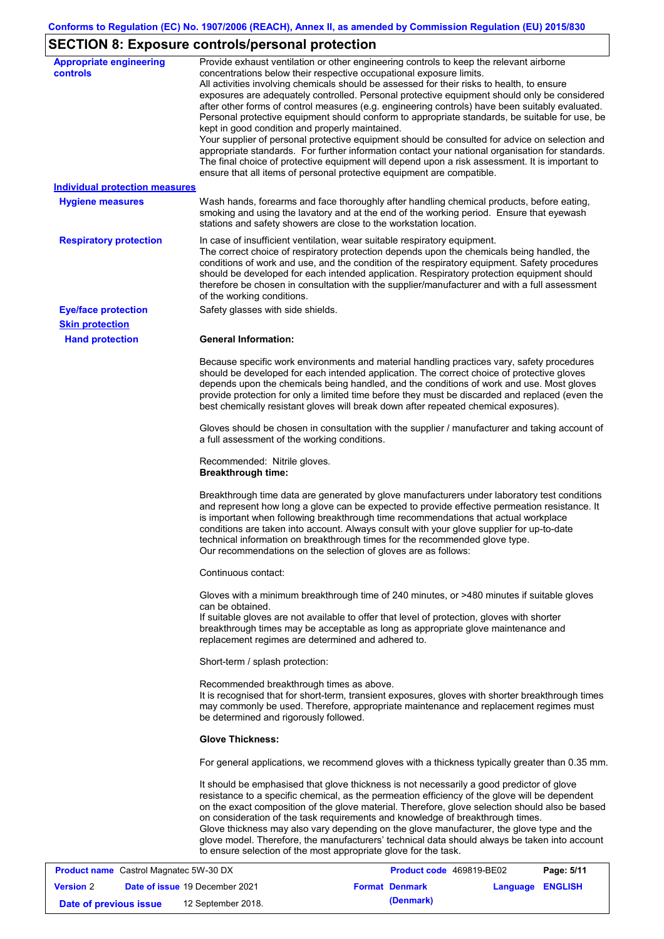# **SECTION 8: Exposure controls/personal protection**

| <b>Appropriate engineering</b><br><b>controls</b> | Provide exhaust ventilation or other engineering controls to keep the relevant airborne<br>concentrations below their respective occupational exposure limits.<br>All activities involving chemicals should be assessed for their risks to health, to ensure<br>exposures are adequately controlled. Personal protective equipment should only be considered<br>after other forms of control measures (e.g. engineering controls) have been suitably evaluated.<br>Personal protective equipment should conform to appropriate standards, be suitable for use, be<br>kept in good condition and properly maintained.<br>Your supplier of personal protective equipment should be consulted for advice on selection and<br>appropriate standards. For further information contact your national organisation for standards.<br>The final choice of protective equipment will depend upon a risk assessment. It is important to<br>ensure that all items of personal protective equipment are compatible. |
|---------------------------------------------------|---------------------------------------------------------------------------------------------------------------------------------------------------------------------------------------------------------------------------------------------------------------------------------------------------------------------------------------------------------------------------------------------------------------------------------------------------------------------------------------------------------------------------------------------------------------------------------------------------------------------------------------------------------------------------------------------------------------------------------------------------------------------------------------------------------------------------------------------------------------------------------------------------------------------------------------------------------------------------------------------------------|
| <b>Individual protection measures</b>             |                                                                                                                                                                                                                                                                                                                                                                                                                                                                                                                                                                                                                                                                                                                                                                                                                                                                                                                                                                                                         |
| <b>Hygiene measures</b>                           | Wash hands, forearms and face thoroughly after handling chemical products, before eating,<br>smoking and using the lavatory and at the end of the working period. Ensure that eyewash<br>stations and safety showers are close to the workstation location.                                                                                                                                                                                                                                                                                                                                                                                                                                                                                                                                                                                                                                                                                                                                             |
| <b>Respiratory protection</b>                     | In case of insufficient ventilation, wear suitable respiratory equipment.<br>The correct choice of respiratory protection depends upon the chemicals being handled, the<br>conditions of work and use, and the condition of the respiratory equipment. Safety procedures<br>should be developed for each intended application. Respiratory protection equipment should<br>therefore be chosen in consultation with the supplier/manufacturer and with a full assessment<br>of the working conditions.                                                                                                                                                                                                                                                                                                                                                                                                                                                                                                   |
| <b>Eye/face protection</b>                        | Safety glasses with side shields.                                                                                                                                                                                                                                                                                                                                                                                                                                                                                                                                                                                                                                                                                                                                                                                                                                                                                                                                                                       |
| <b>Skin protection</b>                            |                                                                                                                                                                                                                                                                                                                                                                                                                                                                                                                                                                                                                                                                                                                                                                                                                                                                                                                                                                                                         |
| <b>Hand protection</b>                            | <b>General Information:</b>                                                                                                                                                                                                                                                                                                                                                                                                                                                                                                                                                                                                                                                                                                                                                                                                                                                                                                                                                                             |
|                                                   | Because specific work environments and material handling practices vary, safety procedures<br>should be developed for each intended application. The correct choice of protective gloves<br>depends upon the chemicals being handled, and the conditions of work and use. Most gloves<br>provide protection for only a limited time before they must be discarded and replaced (even the<br>best chemically resistant gloves will break down after repeated chemical exposures).                                                                                                                                                                                                                                                                                                                                                                                                                                                                                                                        |
|                                                   | Gloves should be chosen in consultation with the supplier / manufacturer and taking account of<br>a full assessment of the working conditions.                                                                                                                                                                                                                                                                                                                                                                                                                                                                                                                                                                                                                                                                                                                                                                                                                                                          |
|                                                   | Recommended: Nitrile gloves.<br><b>Breakthrough time:</b>                                                                                                                                                                                                                                                                                                                                                                                                                                                                                                                                                                                                                                                                                                                                                                                                                                                                                                                                               |
|                                                   | Breakthrough time data are generated by glove manufacturers under laboratory test conditions<br>and represent how long a glove can be expected to provide effective permeation resistance. It<br>is important when following breakthrough time recommendations that actual workplace<br>conditions are taken into account. Always consult with your glove supplier for up-to-date<br>technical information on breakthrough times for the recommended glove type.<br>Our recommendations on the selection of gloves are as follows:                                                                                                                                                                                                                                                                                                                                                                                                                                                                      |
|                                                   | Continuous contact:                                                                                                                                                                                                                                                                                                                                                                                                                                                                                                                                                                                                                                                                                                                                                                                                                                                                                                                                                                                     |
|                                                   | Gloves with a minimum breakthrough time of 240 minutes, or >480 minutes if suitable gloves<br>can be obtained.<br>If suitable gloves are not available to offer that level of protection, gloves with shorter<br>breakthrough times may be acceptable as long as appropriate glove maintenance and<br>replacement regimes are determined and adhered to.                                                                                                                                                                                                                                                                                                                                                                                                                                                                                                                                                                                                                                                |
|                                                   | Short-term / splash protection:                                                                                                                                                                                                                                                                                                                                                                                                                                                                                                                                                                                                                                                                                                                                                                                                                                                                                                                                                                         |
|                                                   | Recommended breakthrough times as above.<br>It is recognised that for short-term, transient exposures, gloves with shorter breakthrough times<br>may commonly be used. Therefore, appropriate maintenance and replacement regimes must<br>be determined and rigorously followed.                                                                                                                                                                                                                                                                                                                                                                                                                                                                                                                                                                                                                                                                                                                        |
|                                                   | <b>Glove Thickness:</b>                                                                                                                                                                                                                                                                                                                                                                                                                                                                                                                                                                                                                                                                                                                                                                                                                                                                                                                                                                                 |
|                                                   | For general applications, we recommend gloves with a thickness typically greater than 0.35 mm.                                                                                                                                                                                                                                                                                                                                                                                                                                                                                                                                                                                                                                                                                                                                                                                                                                                                                                          |
|                                                   | It should be emphasised that glove thickness is not necessarily a good predictor of glove<br>resistance to a specific chemical, as the permeation efficiency of the glove will be dependent<br>on the exact composition of the glove material. Therefore, glove selection should also be based<br>on consideration of the task requirements and knowledge of breakthrough times.<br>Glove thickness may also vary depending on the glove manufacturer, the glove type and the<br>glove model. Therefore, the manufacturers' technical data should always be taken into account<br>to ensure selection of the most appropriate glove for the task.                                                                                                                                                                                                                                                                                                                                                       |
| <b>Broduct name, Castrol Magnatos 5W 30 DY</b>    | <b>Draduct code, 160810 RE02</b><br>Dao: E/44                                                                                                                                                                                                                                                                                                                                                                                                                                                                                                                                                                                                                                                                                                                                                                                                                                                                                                                                                           |

| <b>Product name</b> Castrol Magnatec 5W-30 DX |  |                                       | <b>Product code</b> 469819-BE02 |                       | Page: 5/11       |  |
|-----------------------------------------------|--|---------------------------------------|---------------------------------|-----------------------|------------------|--|
| <b>Version 2</b>                              |  | <b>Date of issue 19 December 2021</b> |                                 | <b>Format Denmark</b> | Language ENGLISH |  |
| Date of previous issue                        |  | 12 September 2018.                    |                                 | (Denmark)             |                  |  |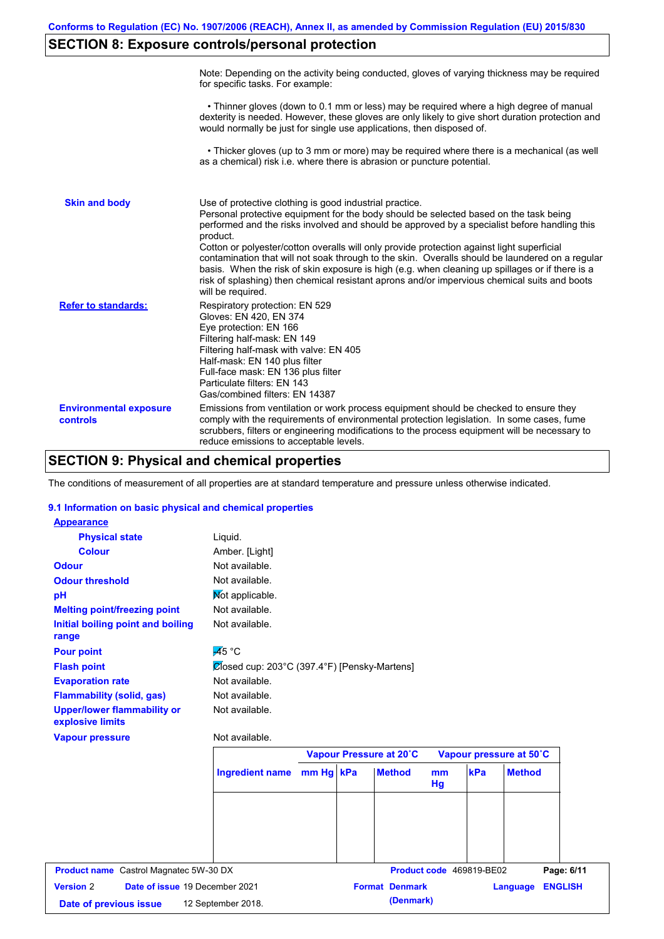# **SECTION 8: Exposure controls/personal protection**

|                                           | Note: Depending on the activity being conducted, gloves of varying thickness may be required<br>for specific tasks. For example:                                                                                                                                                                                                                                                                                                                                                                                                                                                                                                                                                      |
|-------------------------------------------|---------------------------------------------------------------------------------------------------------------------------------------------------------------------------------------------------------------------------------------------------------------------------------------------------------------------------------------------------------------------------------------------------------------------------------------------------------------------------------------------------------------------------------------------------------------------------------------------------------------------------------------------------------------------------------------|
|                                           | • Thinner gloves (down to 0.1 mm or less) may be required where a high degree of manual<br>dexterity is needed. However, these gloves are only likely to give short duration protection and<br>would normally be just for single use applications, then disposed of.                                                                                                                                                                                                                                                                                                                                                                                                                  |
|                                           | • Thicker gloves (up to 3 mm or more) may be required where there is a mechanical (as well<br>as a chemical) risk i.e. where there is abrasion or puncture potential.                                                                                                                                                                                                                                                                                                                                                                                                                                                                                                                 |
| <b>Skin and body</b>                      | Use of protective clothing is good industrial practice.<br>Personal protective equipment for the body should be selected based on the task being<br>performed and the risks involved and should be approved by a specialist before handling this<br>product.<br>Cotton or polyester/cotton overalls will only provide protection against light superficial<br>contamination that will not soak through to the skin. Overalls should be laundered on a regular<br>basis. When the risk of skin exposure is high (e.g. when cleaning up spillages or if there is a<br>risk of splashing) then chemical resistant aprons and/or impervious chemical suits and boots<br>will be required. |
| <b>Refer to standards:</b>                | Respiratory protection: EN 529<br>Gloves: EN 420, EN 374<br>Eye protection: EN 166<br>Filtering half-mask: EN 149<br>Filtering half-mask with valve: EN 405<br>Half-mask: EN 140 plus filter<br>Full-face mask: EN 136 plus filter<br>Particulate filters: EN 143<br>Gas/combined filters: EN 14387                                                                                                                                                                                                                                                                                                                                                                                   |
| <b>Environmental exposure</b><br>controls | Emissions from ventilation or work process equipment should be checked to ensure they<br>comply with the requirements of environmental protection legislation. In some cases, fume<br>scrubbers, filters or engineering modifications to the process equipment will be necessary to<br>reduce emissions to acceptable levels.                                                                                                                                                                                                                                                                                                                                                         |

# **SECTION 9: Physical and chemical properties**

The conditions of measurement of all properties are at standard temperature and pressure unless otherwise indicated.

### **9.1 Information on basic physical and chemical properties**

| <b>Physical state</b>                              | Liquid.                                      |             |                         |                      |                          |                         |                              |
|----------------------------------------------------|----------------------------------------------|-------------|-------------------------|----------------------|--------------------------|-------------------------|------------------------------|
| <b>Colour</b>                                      | Amber. [Light]                               |             |                         |                      |                          |                         |                              |
| <b>Odour</b>                                       | Not available.                               |             |                         |                      |                          |                         |                              |
| <b>Odour threshold</b>                             | Not available.                               |             |                         |                      |                          |                         |                              |
| pH                                                 | Not applicable.                              |             |                         |                      |                          |                         |                              |
| <b>Melting point/freezing point</b>                | Not available.                               |             |                         |                      |                          |                         |                              |
| Initial boiling point and boiling<br>range         | Not available.                               |             |                         |                      |                          |                         |                              |
| <b>Pour point</b>                                  | $\overline{45}$ °C                           |             |                         |                      |                          |                         |                              |
| <b>Flash point</b>                                 | Ølosed cup: 203°C (397.4°F) [Pensky-Martens] |             |                         |                      |                          |                         |                              |
| <b>Evaporation rate</b>                            | Not available.                               |             |                         |                      |                          |                         |                              |
| <b>Flammability (solid, gas)</b>                   | Not available.                               |             |                         |                      |                          |                         |                              |
| <b>Upper/lower flammability or</b>                 | Not available.                               |             |                         |                      |                          |                         |                              |
|                                                    |                                              |             |                         |                      |                          |                         |                              |
|                                                    | Not available.                               |             |                         |                      |                          |                         |                              |
|                                                    |                                              |             | Vapour Pressure at 20°C |                      |                          | Vapour pressure at 50°C |                              |
|                                                    | <b>Ingredient name</b>                       | $mm Hg$ kPa | <b>Method</b>           | m <sub>m</sub><br>Hg | kPa                      | <b>Method</b>           |                              |
|                                                    |                                              |             |                         |                      |                          |                         |                              |
|                                                    |                                              |             |                         |                      |                          |                         |                              |
| explosive limits<br><b>Vapour pressure</b>         |                                              |             |                         |                      |                          |                         |                              |
|                                                    |                                              |             |                         |                      |                          |                         |                              |
| <b>Product name</b> Castrol Magnatec 5W-30 DX      |                                              |             |                         |                      | Product code 469819-BE02 |                         |                              |
| <b>Version 2</b><br>Date of issue 19 December 2021 |                                              |             | <b>Format Denmark</b>   |                      |                          | Language                | Page: 6/11<br><b>ENGLISH</b> |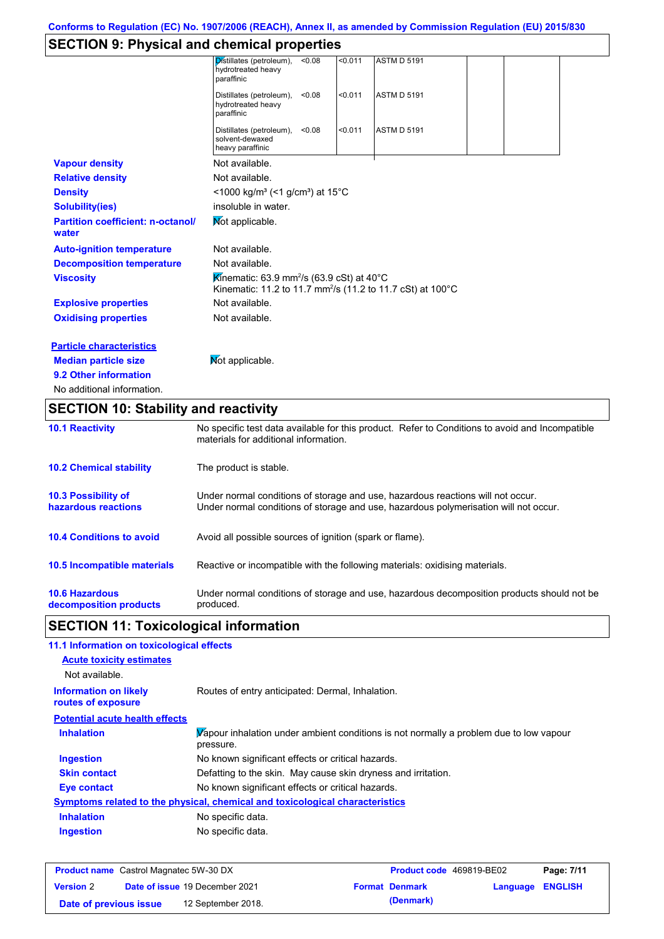# **SECTION 9: Physical and chemical properties**

| No additional information.                        |                                                                  |        |         |                                                                        |  |  |
|---------------------------------------------------|------------------------------------------------------------------|--------|---------|------------------------------------------------------------------------|--|--|
| 9.2 Other information                             |                                                                  |        |         |                                                                        |  |  |
| <b>Median particle size</b>                       | Mot applicable.                                                  |        |         |                                                                        |  |  |
| <b>Particle characteristics</b>                   |                                                                  |        |         |                                                                        |  |  |
| <b>Oxidising properties</b>                       | Not available.                                                   |        |         |                                                                        |  |  |
| <b>Explosive properties</b>                       | Not available.                                                   |        |         |                                                                        |  |  |
| <b>Viscosity</b>                                  | Kinematic: 63.9 mm <sup>2</sup> /s (63.9 cSt) at 40 $^{\circ}$ C |        |         | Kinematic: 11.2 to 11.7 mm <sup>2</sup> /s (11.2 to 11.7 cSt) at 100°C |  |  |
| <b>Decomposition temperature</b>                  | Not available.                                                   |        |         |                                                                        |  |  |
| <b>Auto-ignition temperature</b>                  | Not available.                                                   |        |         |                                                                        |  |  |
| <b>Partition coefficient: n-octanol/</b><br>water | Not applicable.                                                  |        |         |                                                                        |  |  |
| <b>Solubility(ies)</b>                            | insoluble in water.                                              |        |         |                                                                        |  |  |
| <b>Density</b>                                    | <1000 kg/m <sup>3</sup> (<1 g/cm <sup>3</sup> ) at 15°C          |        |         |                                                                        |  |  |
| <b>Relative density</b>                           | Not available.                                                   |        |         |                                                                        |  |  |
| <b>Vapour density</b>                             | Not available.                                                   |        |         |                                                                        |  |  |
|                                                   | Distillates (petroleum),<br>solvent-dewaxed<br>heavy paraffinic  | < 0.08 | < 0.011 | <b>ASTM D 5191</b>                                                     |  |  |
|                                                   | Distillates (petroleum),<br>hydrotreated heavy<br>paraffinic     | < 0.08 | < 0.011 | <b>ASTM D 5191</b>                                                     |  |  |
|                                                   | Distillates (petroleum),<br>hydrotreated heavy<br>paraffinic     | < 0.08 | < 0.011 | <b>ASTM D 5191</b>                                                     |  |  |
|                                                   |                                                                  |        |         |                                                                        |  |  |

# **SECTION 10: Stability and reactivity**

| <b>10.1 Reactivity</b>                          | No specific test data available for this product. Refer to Conditions to avoid and Incompatible<br>materials for additional information.                                |
|-------------------------------------------------|-------------------------------------------------------------------------------------------------------------------------------------------------------------------------|
| <b>10.2 Chemical stability</b>                  | The product is stable.                                                                                                                                                  |
| 10.3 Possibility of<br>hazardous reactions      | Under normal conditions of storage and use, hazardous reactions will not occur.<br>Under normal conditions of storage and use, hazardous polymerisation will not occur. |
| <b>10.4 Conditions to avoid</b>                 | Avoid all possible sources of ignition (spark or flame).                                                                                                                |
| <b>10.5 Incompatible materials</b>              | Reactive or incompatible with the following materials: oxidising materials.                                                                                             |
| <b>10.6 Hazardous</b><br>decomposition products | Under normal conditions of storage and use, hazardous decomposition products should not be<br>produced.                                                                 |

# **SECTION 11: Toxicological information**

| 11.1 Information on toxicological effects          |                                                                                                     |
|----------------------------------------------------|-----------------------------------------------------------------------------------------------------|
| <b>Acute toxicity estimates</b>                    |                                                                                                     |
| Not available.                                     |                                                                                                     |
| <b>Information on likely</b><br>routes of exposure | Routes of entry anticipated: Dermal, Inhalation.                                                    |
| <b>Potential acute health effects</b>              |                                                                                                     |
| <b>Inhalation</b>                                  | Vapour inhalation under ambient conditions is not normally a problem due to low vapour<br>pressure. |
| <b>Ingestion</b>                                   | No known significant effects or critical hazards.                                                   |
| <b>Skin contact</b>                                | Defatting to the skin. May cause skin dryness and irritation.                                       |
| Eye contact                                        | No known significant effects or critical hazards.                                                   |
|                                                    | Symptoms related to the physical, chemical and toxicological characteristics                        |
| <b>Inhalation</b>                                  | No specific data.                                                                                   |
| <b>Ingestion</b>                                   | No specific data.                                                                                   |

| <b>Product name</b> Castrol Magnatec 5W-30 DX |  |                                       | <b>Product code</b> 469819-BE02 |                       | Page: 7/11              |  |
|-----------------------------------------------|--|---------------------------------------|---------------------------------|-----------------------|-------------------------|--|
| <b>Version 2</b>                              |  | <b>Date of issue 19 December 2021</b> |                                 | <b>Format Denmark</b> | <b>Language ENGLISH</b> |  |
| Date of previous issue                        |  | 12 September 2018.                    |                                 | (Denmark)             |                         |  |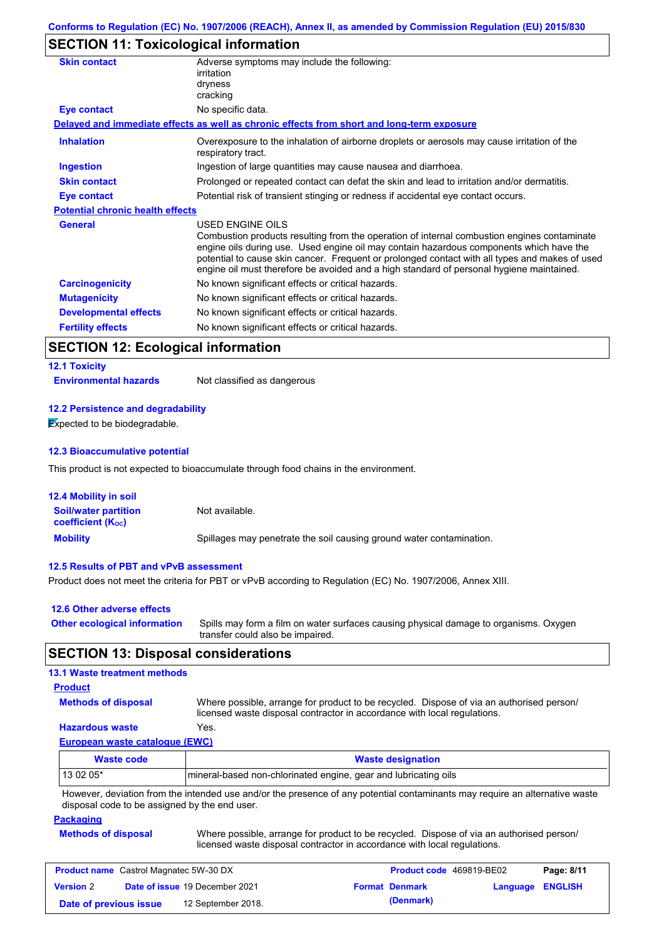# **SECTION 11: Toxicological information**

| <b>Skin contact</b>                     | Adverse symptoms may include the following:<br>irritation<br>dryness<br>cracking                                                                                                                                                                                                                                                                                                                         |
|-----------------------------------------|----------------------------------------------------------------------------------------------------------------------------------------------------------------------------------------------------------------------------------------------------------------------------------------------------------------------------------------------------------------------------------------------------------|
| <b>Eye contact</b>                      | No specific data.                                                                                                                                                                                                                                                                                                                                                                                        |
|                                         | Delayed and immediate effects as well as chronic effects from short and long-term exposure                                                                                                                                                                                                                                                                                                               |
| <b>Inhalation</b>                       | Overexposure to the inhalation of airborne droplets or aerosols may cause irritation of the<br>respiratory tract.                                                                                                                                                                                                                                                                                        |
| <b>Ingestion</b>                        | Ingestion of large quantities may cause nausea and diarrhoea.                                                                                                                                                                                                                                                                                                                                            |
| <b>Skin contact</b>                     | Prolonged or repeated contact can defat the skin and lead to irritation and/or dermatitis.                                                                                                                                                                                                                                                                                                               |
| Eye contact                             | Potential risk of transient stinging or redness if accidental eye contact occurs.                                                                                                                                                                                                                                                                                                                        |
| <b>Potential chronic health effects</b> |                                                                                                                                                                                                                                                                                                                                                                                                          |
| <b>General</b>                          | USED ENGINE OILS<br>Combustion products resulting from the operation of internal combustion engines contaminate<br>engine oils during use. Used engine oil may contain hazardous components which have the<br>potential to cause skin cancer. Frequent or prolonged contact with all types and makes of used<br>engine oil must therefore be avoided and a high standard of personal hygiene maintained. |
| <b>Carcinogenicity</b>                  | No known significant effects or critical hazards.                                                                                                                                                                                                                                                                                                                                                        |
| <b>Mutagenicity</b>                     | No known significant effects or critical hazards.                                                                                                                                                                                                                                                                                                                                                        |
| <b>Developmental effects</b>            | No known significant effects or critical hazards.                                                                                                                                                                                                                                                                                                                                                        |
| <b>Fertility effects</b>                | No known significant effects or critical hazards.                                                                                                                                                                                                                                                                                                                                                        |

# **SECTION 12: Ecological information**

## **12.1 Toxicity**

**Environmental hazards** Not classified as dangerous

### **12.2 Persistence and degradability**

**Expected to be biodegradable.** 

### **12.3 Bioaccumulative potential**

This product is not expected to bioaccumulate through food chains in the environment.

| <b>12.4 Mobility in soil</b>                            |                                                                      |
|---------------------------------------------------------|----------------------------------------------------------------------|
| <b>Soil/water partition</b><br><b>coefficient (Koc)</b> | Not available.                                                       |
| <b>Mobility</b>                                         | Spillages may penetrate the soil causing ground water contamination. |

### **12.5 Results of PBT and vPvB assessment**

Product does not meet the criteria for PBT or vPvB according to Regulation (EC) No. 1907/2006, Annex XIII.

| 12.6 Other adverse effects          |                                                                                                                           |
|-------------------------------------|---------------------------------------------------------------------------------------------------------------------------|
| <b>Other ecological information</b> | Spills may form a film on water surfaces causing physical damage to organisms. Oxygen<br>transfer could also be impaired. |

# **SECTION 13: Disposal considerations**

### **13.1 Waste treatment methods**

### **Product**

**Methods of disposal**

Where possible, arrange for product to be recycled. Dispose of via an authorised person/ licensed waste disposal contractor in accordance with local regulations.

### **Hazardous waste** Yes.

**European waste catalogue (EWC)**

| Waste code | <b>Waste designation</b>                                                                                                    |
|------------|-----------------------------------------------------------------------------------------------------------------------------|
| $130205*$  | mineral-based non-chlorinated engine, gear and lubricating oils                                                             |
|            | However, deviation from the intended use and/or the presence of any potential contaminants may require an alternative waste |

However, deviation from the intended use and/or the presence of any potential contaminants may require an alternative waste disposal code to be assigned by the end user.

#### **Packaging**

**Methods of disposal** Where possible, arrange for product to be recycled. Dispose of via an authorised person/ licensed waste disposal contractor in accordance with local regulations.

|                        | <b>Product name</b> Castrol Magnatec 5W-30 DX |                                       | Product code 469819-BE02 |                         | Page: 8/11 |
|------------------------|-----------------------------------------------|---------------------------------------|--------------------------|-------------------------|------------|
| <b>Version 2</b>       |                                               | <b>Date of issue 19 December 2021</b> | <b>Format Denmark</b>    | <b>Language ENGLISH</b> |            |
| Date of previous issue |                                               | 12 September 2018.                    | (Denmark)                |                         |            |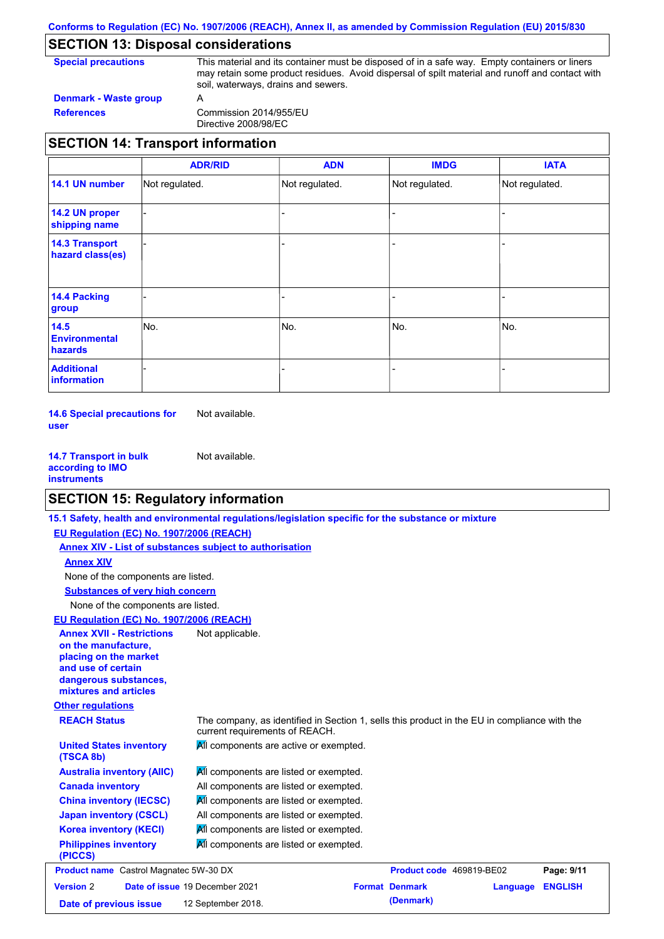# **SECTION 13: Disposal considerations**

| <b>Special precautions</b> | This material and its container must be disposed of in a safe way. Empty containers or liners<br>may retain some product residues. Avoid dispersal of spilt material and runoff and contact with<br>soil, waterways, drains and sewers. |  |  |
|----------------------------|-----------------------------------------------------------------------------------------------------------------------------------------------------------------------------------------------------------------------------------------|--|--|
| Denmark - Waste group      | A                                                                                                                                                                                                                                       |  |  |
| <b>References</b>          | Commission 2014/955/EU                                                                                                                                                                                                                  |  |  |

Directive 2008/98/EC

## **SECTION 14: Transport information**

|                                           | <b>ADR/RID</b> | <b>ADN</b>     | <b>IMDG</b>    | <b>IATA</b>    |
|-------------------------------------------|----------------|----------------|----------------|----------------|
| 14.1 UN number                            | Not regulated. | Not regulated. | Not regulated. | Not regulated. |
| 14.2 UN proper<br>shipping name           |                |                | -              |                |
| <b>14.3 Transport</b><br>hazard class(es) |                |                | -              |                |
| 14.4 Packing<br>group                     |                |                | -              |                |
| 14.5<br><b>Environmental</b><br>hazards   | No.            | No.            | No.            | No.            |
| <b>Additional</b><br>information          |                |                |                |                |

**14.6 Special precautions for user** Not available.

**14.7 Transport in bulk according to IMO instruments** Not available.

## **SECTION 15: Regulatory information**

**15.1 Safety, health and environmental regulations/legislation specific for the substance or mixture**

**EU Regulation (EC) No. 1907/2006 (REACH) Annex XIV - List of substances subject to authorisation**

|                                                                                                                                                          | <u> Annex XIV - List of substances subject to authorisation</u>                                                                |                       |                          |                |
|----------------------------------------------------------------------------------------------------------------------------------------------------------|--------------------------------------------------------------------------------------------------------------------------------|-----------------------|--------------------------|----------------|
| <b>Annex XIV</b>                                                                                                                                         |                                                                                                                                |                       |                          |                |
| None of the components are listed.                                                                                                                       |                                                                                                                                |                       |                          |                |
| <b>Substances of very high concern</b>                                                                                                                   |                                                                                                                                |                       |                          |                |
| None of the components are listed.                                                                                                                       |                                                                                                                                |                       |                          |                |
| EU Regulation (EC) No. 1907/2006 (REACH)                                                                                                                 |                                                                                                                                |                       |                          |                |
| <b>Annex XVII - Restrictions</b><br>on the manufacture.<br>placing on the market<br>and use of certain<br>dangerous substances,<br>mixtures and articles | Not applicable.                                                                                                                |                       |                          |                |
| <b>Other regulations</b>                                                                                                                                 |                                                                                                                                |                       |                          |                |
| <b>REACH Status</b>                                                                                                                                      | The company, as identified in Section 1, sells this product in the EU in compliance with the<br>current requirements of REACH. |                       |                          |                |
| <b>United States inventory</b><br>(TSCA 8b)                                                                                                              | All components are active or exempted.                                                                                         |                       |                          |                |
| <b>Australia inventory (AIIC)</b>                                                                                                                        | All components are listed or exempted.                                                                                         |                       |                          |                |
| <b>Canada inventory</b>                                                                                                                                  | All components are listed or exempted.                                                                                         |                       |                          |                |
| <b>China inventory (IECSC)</b>                                                                                                                           | All components are listed or exempted.                                                                                         |                       |                          |                |
| <b>Japan inventory (CSCL)</b>                                                                                                                            | All components are listed or exempted.                                                                                         |                       |                          |                |
| <b>Korea inventory (KECI)</b>                                                                                                                            | All components are listed or exempted.                                                                                         |                       |                          |                |
| <b>Philippines inventory</b><br>(PICCS)                                                                                                                  | All components are listed or exempted.                                                                                         |                       |                          |                |
| <b>Product name</b> Castrol Magnatec 5W-30 DX                                                                                                            |                                                                                                                                |                       | Product code 469819-BE02 | Page: 9/11     |
| <b>Version 2</b>                                                                                                                                         | Date of issue 19 December 2021                                                                                                 | <b>Format Denmark</b> | Language                 | <b>ENGLISH</b> |
| Date of previous issue                                                                                                                                   | 12 September 2018.                                                                                                             | (Denmark)             |                          |                |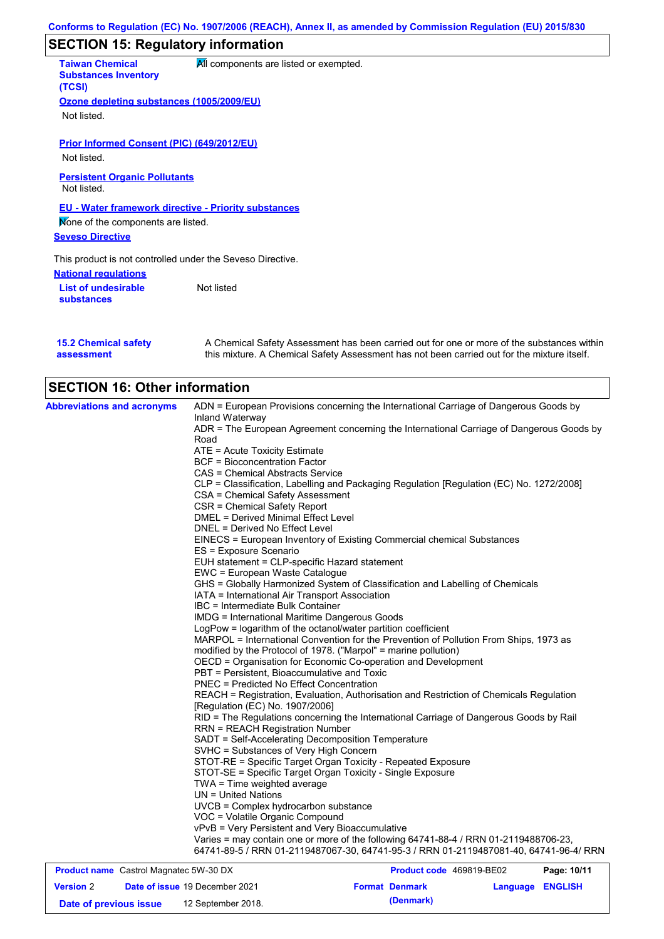## **SECTION 15: Regulatory information**

**National regulations List of undesirable substances** Not listed **Taiwan Chemical Substances Inventory (TCSI) All components are listed or exempted. Ozone depleting substances (1005/2009/EU)** Not listed. **Prior Informed Consent (PIC) (649/2012/EU)** Not listed. **Seveso Directive** This product is not controlled under the Seveso Directive. **EU - Water framework directive - Priority substances** Mone of the components are listed. **Persistent Organic Pollutants** Not listed.

| <b>15.2 Chemical safety</b> |  |  |
|-----------------------------|--|--|
| assessment                  |  |  |

A Chemical Safety Assessment has been carried out for one or more of the substances within this mixture. A Chemical Safety Assessment has not been carried out for the mixture itself.

# **SECTION 16: Other information**

| <b>Abbreviations and acronyms</b>             | ADN = European Provisions concerning the International Carriage of Dangerous Goods by                                                                                         |                                 |             |
|-----------------------------------------------|-------------------------------------------------------------------------------------------------------------------------------------------------------------------------------|---------------------------------|-------------|
|                                               | Inland Waterway                                                                                                                                                               |                                 |             |
|                                               | ADR = The European Agreement concerning the International Carriage of Dangerous Goods by<br>Road                                                                              |                                 |             |
|                                               | ATE = Acute Toxicity Estimate                                                                                                                                                 |                                 |             |
|                                               | <b>BCF</b> = Bioconcentration Factor                                                                                                                                          |                                 |             |
|                                               | CAS = Chemical Abstracts Service                                                                                                                                              |                                 |             |
|                                               | CLP = Classification, Labelling and Packaging Regulation [Regulation (EC) No. 1272/2008]                                                                                      |                                 |             |
|                                               | <b>CSA = Chemical Safety Assessment</b>                                                                                                                                       |                                 |             |
|                                               | CSR = Chemical Safety Report                                                                                                                                                  |                                 |             |
|                                               | <b>DMEL = Derived Minimal Effect Level</b>                                                                                                                                    |                                 |             |
|                                               | DNEL = Derived No Effect Level                                                                                                                                                |                                 |             |
|                                               | EINECS = European Inventory of Existing Commercial chemical Substances                                                                                                        |                                 |             |
|                                               | ES = Exposure Scenario                                                                                                                                                        |                                 |             |
|                                               | EUH statement = CLP-specific Hazard statement                                                                                                                                 |                                 |             |
|                                               | EWC = European Waste Catalogue                                                                                                                                                |                                 |             |
|                                               | GHS = Globally Harmonized System of Classification and Labelling of Chemicals                                                                                                 |                                 |             |
|                                               | IATA = International Air Transport Association                                                                                                                                |                                 |             |
|                                               | IBC = Intermediate Bulk Container                                                                                                                                             |                                 |             |
|                                               | <b>IMDG</b> = International Maritime Dangerous Goods                                                                                                                          |                                 |             |
|                                               | LogPow = logarithm of the octanol/water partition coefficient                                                                                                                 |                                 |             |
|                                               | MARPOL = International Convention for the Prevention of Pollution From Ships, 1973 as                                                                                         |                                 |             |
|                                               | modified by the Protocol of 1978. ("Marpol" = marine pollution)                                                                                                               |                                 |             |
|                                               | OECD = Organisation for Economic Co-operation and Development                                                                                                                 |                                 |             |
|                                               | PBT = Persistent, Bioaccumulative and Toxic                                                                                                                                   |                                 |             |
|                                               | <b>PNEC = Predicted No Effect Concentration</b>                                                                                                                               |                                 |             |
|                                               | REACH = Registration, Evaluation, Authorisation and Restriction of Chemicals Regulation                                                                                       |                                 |             |
|                                               | [Regulation (EC) No. 1907/2006]                                                                                                                                               |                                 |             |
|                                               | RID = The Regulations concerning the International Carriage of Dangerous Goods by Rail                                                                                        |                                 |             |
|                                               | <b>RRN = REACH Registration Number</b>                                                                                                                                        |                                 |             |
|                                               | SADT = Self-Accelerating Decomposition Temperature                                                                                                                            |                                 |             |
|                                               | SVHC = Substances of Very High Concern                                                                                                                                        |                                 |             |
|                                               | STOT-RE = Specific Target Organ Toxicity - Repeated Exposure                                                                                                                  |                                 |             |
|                                               | STOT-SE = Specific Target Organ Toxicity - Single Exposure                                                                                                                    |                                 |             |
|                                               | TWA = Time weighted average<br>$UN = United Nations$                                                                                                                          |                                 |             |
|                                               |                                                                                                                                                                               |                                 |             |
|                                               | $UVCB = Complex\;hydrocarbon\; substance$                                                                                                                                     |                                 |             |
|                                               | VOC = Volatile Organic Compound                                                                                                                                               |                                 |             |
|                                               | vPvB = Very Persistent and Very Bioaccumulative                                                                                                                               |                                 |             |
|                                               | Varies = may contain one or more of the following 64741-88-4 / RRN 01-2119488706-23,<br>64741-89-5 / RRN 01-2119487067-30, 64741-95-3 / RRN 01-2119487081-40, 64741-96-4/ RRN |                                 |             |
| <b>Product name</b> Castrol Magnatec 5W-30 DX |                                                                                                                                                                               | <b>Product code</b> 469819-BE02 | Page: 10/11 |

| <b>Product name</b> Castrol Magnatec 5W-30 DX |  | <b>Product code</b> 469819-BE02       |  | Page: 10/11           |                  |  |
|-----------------------------------------------|--|---------------------------------------|--|-----------------------|------------------|--|
| <b>Version 2</b>                              |  | <b>Date of issue 19 December 2021</b> |  | <b>Format Denmark</b> | Language ENGLISH |  |
| Date of previous issue                        |  | 12 September 2018.                    |  | (Denmark)             |                  |  |